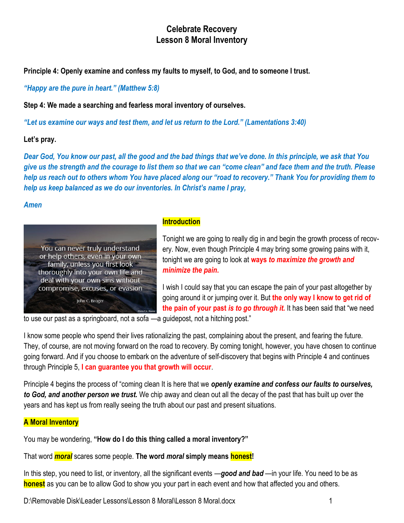**Principle 4: Openly examine and confess my faults to myself, to God, and to someone I trust.** 

*"Happy are the pure in heart." (Matthew 5:8)* 

**Step 4: We made a searching and fearless moral inventory of ourselves.** 

*"Let us examine our ways and test them, and let us return to the Lord." (Lamentations 3:40)* 

**Let's pray.** 

*Dear God, You know our past, all the good and the bad things that we've done. In this principle, we ask that You give us the strength and the courage to list them so that we can "come clean" and face them and the truth. Please help us reach out to others whom You have placed along our "road to recovery." Thank You for providing them to help us keep balanced as we do our inventories. In Christ's name I pray,*

#### *Amen*



#### **Introduction**

Tonight we are going to really dig in and begin the growth process of recovery. Now, even though Principle 4 may bring some growing pains with it, tonight we are going to look at **ways** *to maximize the growth and minimize the pain***.** 

I wish I could say that you can escape the pain of your past altogether by going around it or jumping over it. But **the only way I know to get rid of the pain of your past** *is to go through it.* It has been said that "we need

to use our past as a springboard, not a sofa —a guidepost, not a hitching post."

I know some people who spend their lives rationalizing the past, complaining about the present, and fearing the future. They, of course, are not moving forward on the road to recovery. By coming tonight, however, you have chosen to continue going forward. And if you choose to embark on the adventure of self-discovery that begins with Principle 4 and continues through Principle 5, **I can guarantee you that growth will occur**.

Principle 4 begins the process of "coming clean It is here that we *openly examine and confess our faults to ourselves, to God, and another person we trust.* We chip away and clean out all the decay of the past that has built up over the years and has kept us from really seeing the truth about our past and present situations.

### **A Moral Inventory**

You may be wondering, **"How do I do this thing called a moral inventory?"**

That word *moral* scares some people. **The word** *moral* **simply means honest!** 

In this step, you need to list, or inventory, all the significant events —*good and bad* —in your life. You need to be as **honest** as you can be to allow God to show you your part in each event and how that affected you and others.

D:\Removable Disk\Leader Lessons\Lesson 8 Moral\Lesson 8 Moral.docx 1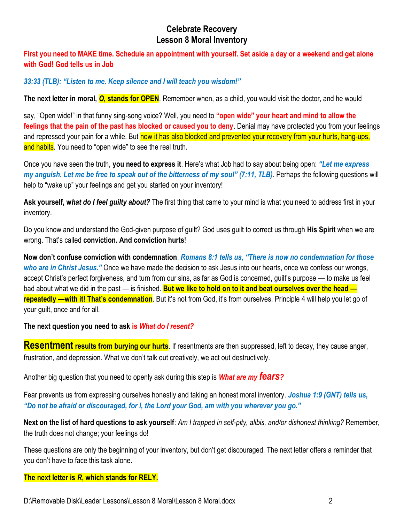### **First you need to MAKE time. Schedule an appointment with yourself. Set aside a day or a weekend and get alone with God! God tells us in Job**

#### *33:33 (TLB): "Listen to me. Keep silence and I will teach you wisdom!"*

**The next letter in moral,** *O***, stands for OPEN**. Remember when, as a child, you would visit the doctor, and he would

say, "Open wide!" in that funny sing-song voice? Well, you need to **"open wide" your heart and mind to allow the feelings that the pain of the past has blocked or caused you to deny**. Denial may have protected you from your feelings and repressed your pain for a while. But now it has also blocked and prevented your recovery from your hurts, hang-ups, and habits. You need to "open wide" to see the real truth.

Once you have seen the truth, **you need to express it**. Here's what Job had to say about being open: *"Let me express my anguish. Let me be free to speak out of the bitterness of my soul" (7:11, TLB)*. Perhaps the following questions will help to "wake up" your feelings and get you started on your inventory!

**Ask yourself, w***hat do I feel guilty about?* The first thing that came to your mind is what you need to address first in your inventory.

Do you know and understand the God-given purpose of guilt? God uses guilt to correct us through **His Spirit** when we are wrong. That's called **conviction. And conviction hurts**!

**Now don't confuse conviction with condemnation**. *Romans 8:1 tells us, "There is now no condemnation for those who are in Christ Jesus."* Once we have made the decision to ask Jesus into our hearts, once we confess our wrongs, accept Christ's perfect forgiveness, and turn from our sins, as far as God is concerned, guilt's purpose — to make us feel bad about what we did in the past — is finished. **But we like to hold on to it and beat ourselves over the head repeatedly —with it! That's condemnation**. But it's not from God, it's from ourselves. Principle 4 will help you let go of your guilt, once and for all.

#### **The next question you need to ask is** *What do I resent?*

**Resentment results from burying our hurts**. If resentments are then suppressed, left to decay, they cause anger, frustration, and depression. What we don't talk out creatively, we act out destructively.

Another big question that you need to openly ask during this step is *What are my fears?* 

Fear prevents us from expressing ourselves honestly and taking an honest moral inventory. *Joshua 1:9 (GNT) tells us, "Do not be afraid or discouraged, for I, the Lord your God, am with you wherever you go."* 

**Next on the list of hard questions to ask yourself**: *Am I trapped in self-pity, alibis, and/or dishonest thinking?* Remember, the truth does not change; your feelings do!

These questions are only the beginning of your inventory, but don't get discouraged. The next letter offers a reminder that you don't have to face this task alone.

#### **The next letter is** *R***, which stands for RELY.**

D:\Removable Disk\Leader Lessons\Lesson 8 Moral\Lesson 8 Moral.docx 2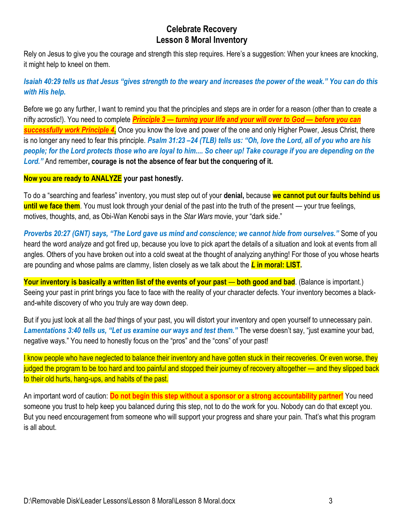Rely on Jesus to give you the courage and strength this step requires. Here's a suggestion: When your knees are knocking, it might help to kneel on them.

*Isaiah 40:29 tells us that Jesus "gives strength to the weary and increases the power of the weak." You can do this with His help.* 

Before we go any further, I want to remind you that the principles and steps are in order for a reason (other than to create a nifty acrostic!). You need to complete *Principle 3 — turning your life and your will over to God — before you can successfully work Principle 4.* Once you know the love and power of the one and only Higher Power, Jesus Christ, there is no longer any need to fear this principle. *Psalm 31:23 –24 (TLB) tells us: "Oh, love the Lord, all of you who are his people; for the Lord protects those who are loyal to him.... So cheer up! Take courage if you are depending on the Lord."* And remember**, courage is not the absence of fear but the conquering of it.**

**Now you are ready to ANALYZE your past honestly.** 

To do a "searching and fearless" inventory, you must step out of your **denial,** because **we cannot put our faults behind us until we face them**. You must look through your denial of the past into the truth of the present — your true feelings, motives, thoughts, and, as Obi-Wan Kenobi says in the *Star Wars* movie, your "dark side."

*Proverbs 20:27 (GNT) says, "The Lord gave us mind and conscience; we cannot hide from ourselves."* Some of you heard the word *analyze* and got fired up, because you love to pick apart the details of a situation and look at events from all angles. Others of you have broken out into a cold sweat at the thought of analyzing anything! For those of you whose hearts are pounding and whose palms are clammy, listen closely as we talk about the *L* **in moral: LIST.**

**Your inventory is basically a written list of the events of your past** — **both good and bad**. (Balance is important.) Seeing your past in print brings you face to face with the reality of your character defects. Your inventory becomes a blackand-white discovery of who you truly are way down deep.

But if you just look at all the *bad* things of your past, you will distort your inventory and open yourself to unnecessary pain. *Lamentations 3:40 tells us, "Let us examine our ways and test them."* The verse doesn't say, "just examine your bad, negative ways." You need to honestly focus on the "pros" and the "cons" of your past!

I know people who have neglected to balance their inventory and have gotten stuck in their recoveries. Or even worse, they judged the program to be too hard and too painful and stopped their journey of recovery altogether — and they slipped back to their old hurts, hang-ups, and habits of the past.

An important word of caution: **Do not begin this step without a sponsor or a strong accountability partner!** You need someone you trust to help keep you balanced during this step, not to do the work for you. Nobody can do that except you. But you need encouragement from someone who will support your progress and share your pain. That's what this program is all about.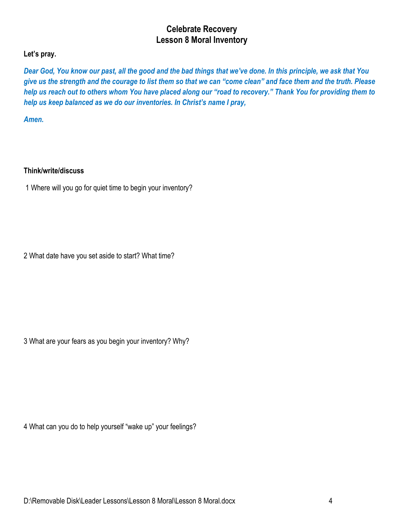**Let's pray.** 

*Dear God, You know our past, all the good and the bad things that we've done. In this principle, we ask that You give us the strength and the courage to list them so that we can "come clean" and face them and the truth. Please help us reach out to others whom You have placed along our "road to recovery." Thank You for providing them to help us keep balanced as we do our inventories. In Christ's name I pray,*

*Amen.* 

#### **Think/write/discuss**

1 Where will you go for quiet time to begin your inventory?

2 What date have you set aside to start? What time?

3 What are your fears as you begin your inventory? Why?

4 What can you do to help yourself "wake up" your feelings?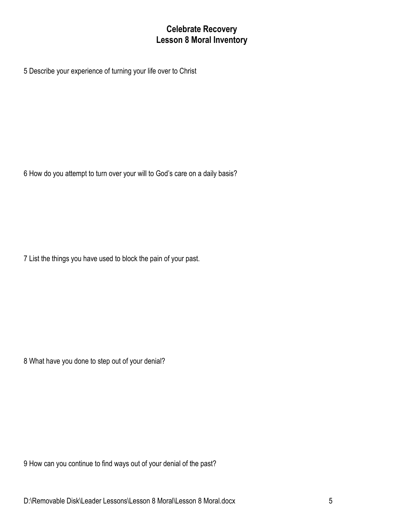5 Describe your experience of turning your life over to Christ

6 How do you attempt to turn over your will to God's care on a daily basis?

7 List the things you have used to block the pain of your past.

8 What have you done to step out of your denial?

9 How can you continue to find ways out of your denial of the past?